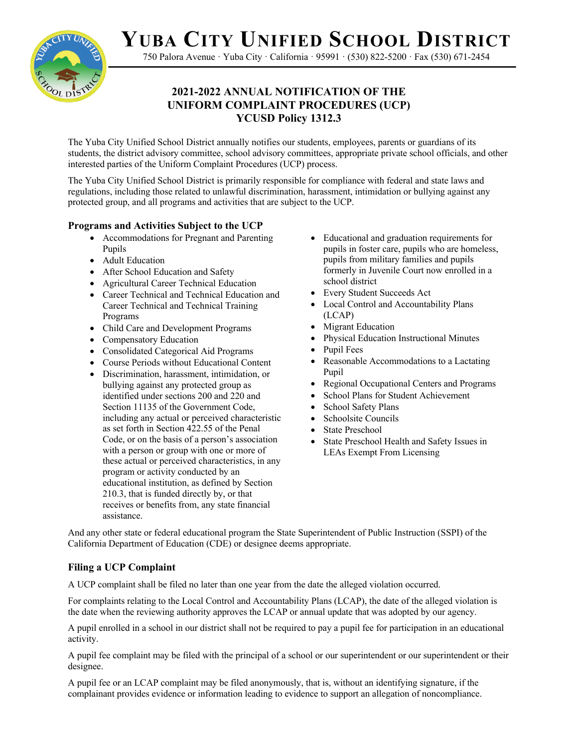**YUBA CITY UNIFIED SCHOOL DISTRICT**



750 Palora Avenue · Yuba City · California · 95991 · (530) 822-5200 · Fax (530) 671-2454

# **2021-2022 ANNUAL NOTIFICATION OF THE UNIFORM COMPLAINT PROCEDURES (UCP) YCUSD Policy 1312.3**

The Yuba City Unified School District annually notifies our students, employees, parents or guardians of its students, the district advisory committee, school advisory committees, appropriate private school officials, and other interested parties of the Uniform Complaint Procedures (UCP) process.

The Yuba City Unified School District is primarily responsible for compliance with federal and state laws and regulations, including those related to unlawful discrimination, harassment, intimidation or bullying against any protected group, and all programs and activities that are subject to the UCP.

# **Programs and Activities Subject to the UCP**

- Accommodations for Pregnant and Parenting Pupils
- Adult Education
- After School Education and Safety
- Agricultural Career Technical Education
- Career Technical and Technical Education and Career Technical and Technical Training Programs
- Child Care and Development Programs
- Compensatory Education
- Consolidated Categorical Aid Programs
- Course Periods without Educational Content
- Discrimination, harassment, intimidation, or bullying against any protected group as identified under sections 200 and 220 and Section 11135 of the Government Code, including any actual or perceived characteristic as set forth in Section 422.55 of the Penal Code, or on the basis of a person's association with a person or group with one or more of these actual or perceived characteristics, in any program or activity conducted by an educational institution, as defined by Section 210.3, that is funded directly by, or that receives or benefits from, any state financial assistance.
- Educational and graduation requirements for pupils in foster care, pupils who are homeless, pupils from military families and pupils formerly in Juvenile Court now enrolled in a school district
- Every Student Succeeds Act
- Local Control and Accountability Plans (LCAP)
- Migrant Education
- Physical Education Instructional Minutes
- Pupil Fees
- Reasonable Accommodations to a Lactating Pupil
- Regional Occupational Centers and Programs
- School Plans for Student Achievement
- School Safety Plans
- Schoolsite Councils
- State Preschool
- State Preschool Health and Safety Issues in LEAs Exempt From Licensing

And any other state or federal educational program the State Superintendent of Public Instruction (SSPI) of the California Department of Education (CDE) or designee deems appropriate.

## **Filing a UCP Complaint**

A UCP complaint shall be filed no later than one year from the date the alleged violation occurred.

For complaints relating to the Local Control and Accountability Plans (LCAP), the date of the alleged violation is the date when the reviewing authority approves the LCAP or annual update that was adopted by our agency.

A pupil enrolled in a school in our district shall not be required to pay a pupil fee for participation in an educational activity.

A pupil fee complaint may be filed with the principal of a school or our superintendent or our superintendent or their designee.

A pupil fee or an LCAP complaint may be filed anonymously, that is, without an identifying signature, if the complainant provides evidence or information leading to evidence to support an allegation of noncompliance.